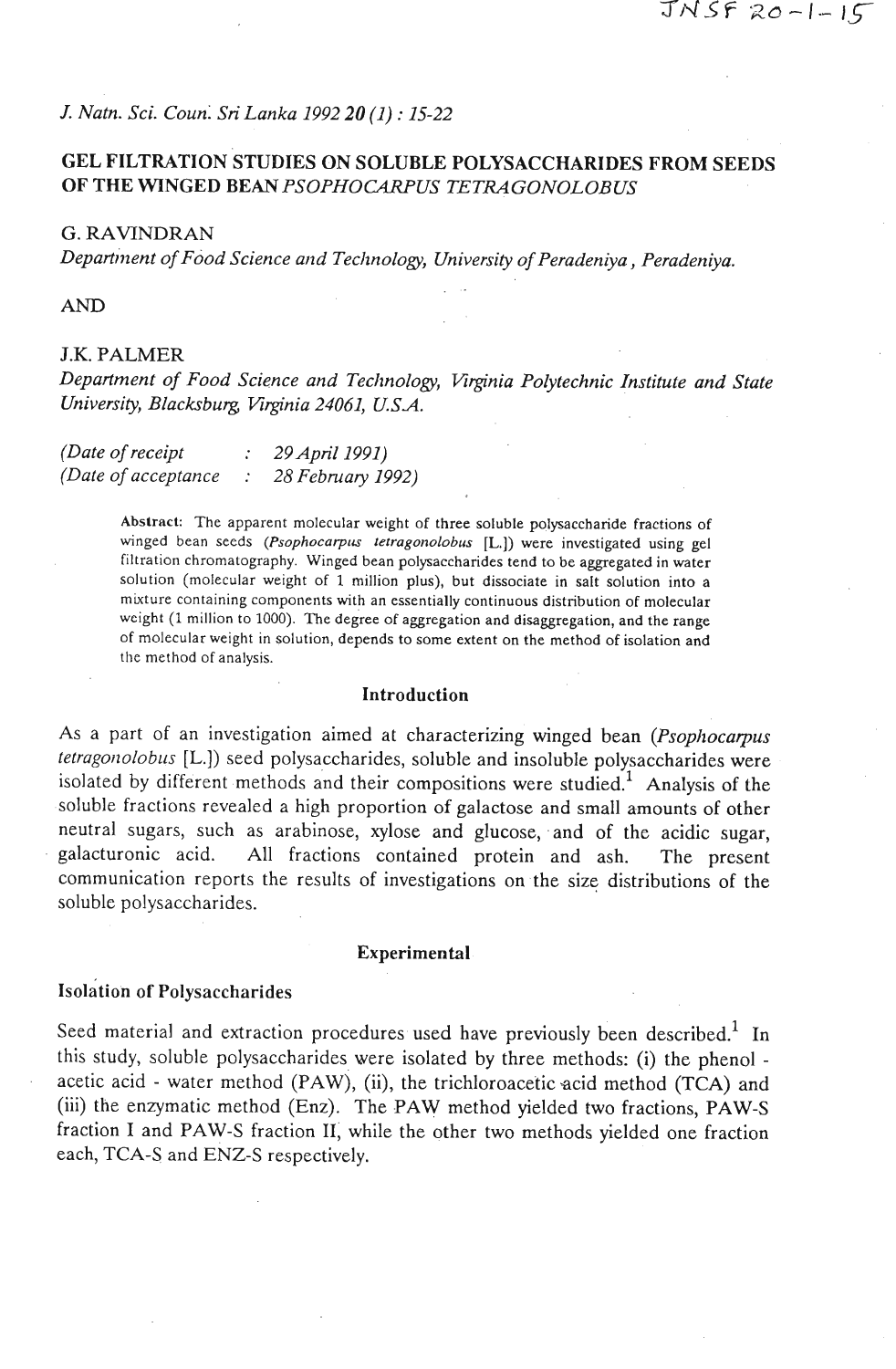*J. Natn. Sci. Coun:* **Sri** *Lanka 1992 20 (1)* : *15-22* 

# **GEL FILTRATION STUDIES ON SOLUBLE POLYSACCHARIDES FROM SEEDS OF THE WINGED BEAN PSOPHOCARPUS TETRAGONOLOBUS**

# *G.* RAVINDRAN

*Departl'nent of Food Science and Tecltnology, University of Peradeniya* , *Peradeniya.* 

#### AND

# J.K. PALMER

*Department of Food Science and Technology, Virginia PoIytechnic Institute and State University, Blackburg, Vrginia 24061, USA.* 

| (Date of receipt     | 29 April 1991)    |
|----------------------|-------------------|
| (Date of acceptance) | 28 February 1992) |

**Absirack** The apparent molecular weight of three soluble polysaccharide fractions of winged bean seeds *(Psophocarpus tetragonolobus* [L.]) were investigated using gel filtration chromatography. Winged bean polysaccharides tend to be aggregated in water solution (molecular weight of 1 million plus), but dissociate in salt solution into a mixture containing components with an essentially continuous distribution of molecular weight (1 million to 1000). The degree of aggregation and disaggregation, and the range of molecular weight in solution, depends to some extent on the method of isolation and the method of analysis.

### **Introduction**

As a part of an investigation aimed at characterizing winged bean *(Psophocarpus tetragonolobus* [L.]) seed polysaccharides, soluble and insoluble polysaccharides were isolated by different methods and their compositions were studied.' Analysis of the soluble fractions revealed a high proportion of galactose and small amounts of other neutral sugars, such as arabinose, xylose and glucose, and of the acidic sugar, galacturonic acid. All fractions contained protein and ash. The present communication reports the results of investigations on the size distributions of the soluble polysaccharides.

#### Experimental

### isolation **of** Polysaccharides

Seed material and extraction procedures used have previously been described.<sup>1</sup> In this study, soluble polysaccharides were isolated by three methods: (i) the phenol acetic acid - water method (PAW), (ii), the trichloroaceticacid method (TCA) and (iii) the enzymatic method (Enz). The **PAW** method yielded two fractions, **PAW-S**  fraction I and PAW-S fraction **11,** while the other two methods yielded one fraction each, TCA-S and ENZ-S respectively.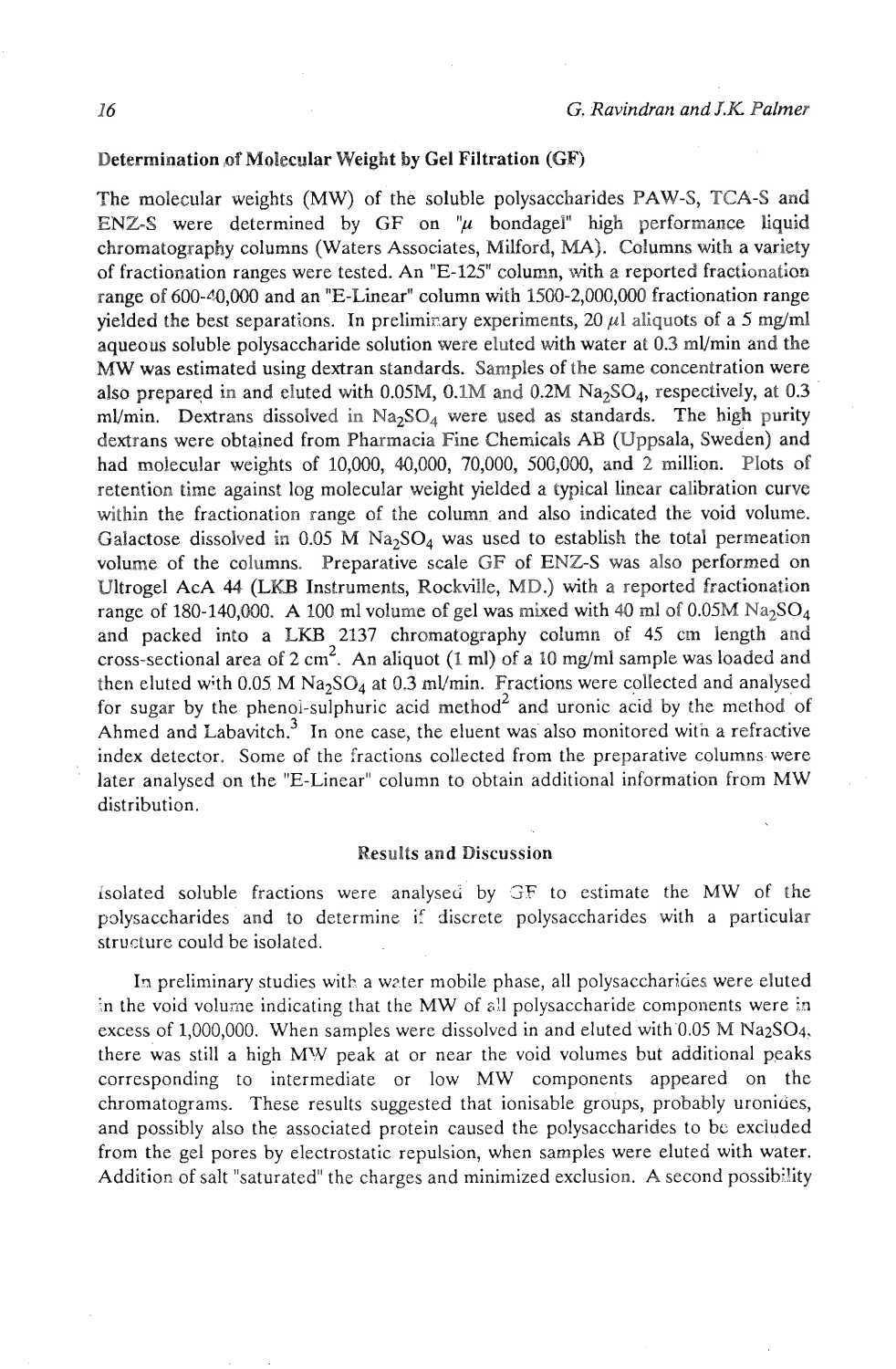# Determination ,of Molecular Weight **by** Gel Filtration (GF)

The molecular weights (MW) of the soluble polysaccharides PAW-S, TCA-S and ENZ-S were determined by GF on  $\mu$  bondagel high performance liquid chromatography columns (Waters Associates, Milford, MA). Columns with a variety of fractionation ranges were tested. An "E-125" column, with a reported fractionation range of  $600-40,000$  and an "E-Linear" column with  $1500-2,000,000$  fractionation range yielded the best separations. In preliminary experiments,  $20 \mu l$  aliquots of a 5 mg/ml aqueous soluble polysaccharide solution were eluted with water at 0.3 ml/min and the MW was estimated using dextran standards. Samples of the same concentration were also prepared in and eluted with 0.05M,  $0.1M$  and  $0.2M$   $Na<sub>2</sub>SO<sub>4</sub>$ , respectively, at 0.3 ml/min. Dextrans dissolved in  $Na<sub>2</sub>SO<sub>4</sub>$  were used as standards. The high purity dextrans were obtained from Pharmacia Fine Chemicals AB (Uppsala, Sweden) and had molecular weights of 10,000, 40,000, 70,000, 500,000, and 2 million. Plots of retention time against log molecular weight yielded a typical linear calibration curve within the fractionation range of the column and also indicated the void volume. Galactose dissolved in 0.05 M Na<sub>2</sub>SO<sub>4</sub> was used to establish the total permeation volume of the columns. Preparative scale GF of ENZ-S was also performed on Ultrogel AcA 44 (LKB Instruments, Rockville, MD.) with a reported fractionation range of 180-140,000. A 100 ml volume of gel was mixed with 40 ml of 0.05M  $Na<sub>2</sub>SO<sub>4</sub>$ and packed into a LKB 2137 chromatography column of 45 cm length and cross-sectional area of  $2 \text{ cm}^2$ . An aliquot (1 ml) of a 10 mg/ml sample was loaded and then eluted with 0.05 M Na<sub>2</sub>SO<sub>4</sub> at 0.3 ml/min. Fractions were collected and analysed for sugar by the phenoi-sulphuric acid method<sup>2</sup> and uronic acid by the method of Ahmed and Labavitch.<sup>3</sup> In one case, the eluent was also monitored with a refractive index detector. Some of the fractions collected from the preparative columns were later analysed on the "E-Linear" column to obtain additional information from MW distribution.

#### Results and Discussion

Isolated soluble fractions were analysed by GF to estimate the MW of the polysaccharides and to determine if discrete polysaccharides with a particular structure could be isolated.

In preliminary studies with a water mobile phase, all polysaccharides were eluted :n the void volume indicating that the MW of 811 polysaccharide components were in excess of 1,000,000. When samples were dissolved in and eluted with 0.05 M Na<sub>2</sub>SO<sub>4</sub>, there was still a high MW peak at or near the void volumes but additional peaks corresponding to intermediate or low MW components appeared on the chromatograms. These results suggested that ionisable groups, probably uronides, and possibly also the associated protein caused the polysaccharides to be excluded from the gel pores by electrostatic repulsion, when samples were eluted with water. Addition of salt "saturated" the charges and minimized exclusion. **A** second possibility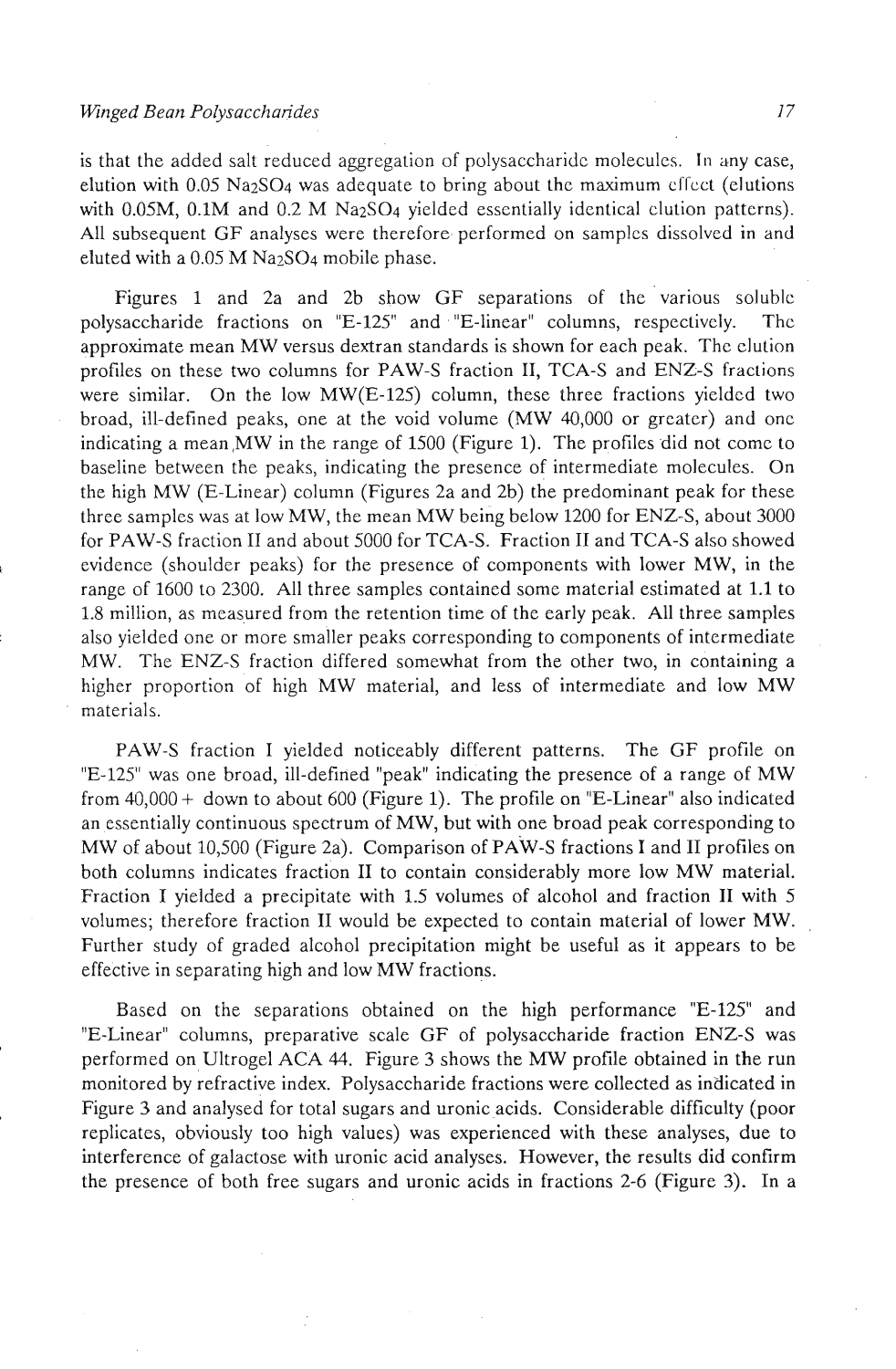### *Winged Bean Polysacchandes*

is that the added salt reduced aggregation of polysaccharidc molecules. In any case, elution with  $0.05$  Na<sub>2</sub>SO<sub>4</sub> was adequate to bring about the maximum cffect (elutions with 0.05M, 0.1M and 0.2 M Na<sub>2</sub>SO<sub>4</sub> yielded essentially identical clution patterns). All subsequent GF analyses were therefore. performed on samplcs dissolved in and eluted with a  $0.05$  M Na<sub>2</sub>SO<sub>4</sub> mobile phase.

Figures 1 and 2a and 2b show GF separations of the various solublc polysaccharide fractions on "E-125" and "E-linear" columns, respectively. Thc approximate mean MW versus dextran standards is shown for each peak. The elution profiles on these two columns for PAW-S fraction 11, TCA-S and ENZ-S fractions were similar. On the low MW(E-125) column, these three fractions yielded two broad, ill-defined peaks, one at the void volume (MW 40,000 or greater) and onc indicating a mean,MW in the range of 1500 (Figure 1). The profiles did not come to baseline between the peaks, indicating the presence of intermediate molecules. On the high MW (E-Linear) column (Figures 2a and 2b) the predominant peak for these three samples was at low MW, the mean MW being below 1200 for ENZ-S, about 3000 for PAW-S fraction **I1** and about 5000 for TCA-S. Fraction **I1** and TCA-S also showed evidence (shoulder peaks) for the presence of components with lower MW, in the range of 1600 to 2300. All three samples contained some material estimated at **1.1** to 1.8 million, as measured from the retention time of the early peak. All three samples also yielded one or more smaller peaks corresponding to components of intermediate MW. The ENZ-S fraction differed somewhat from the other two, in containing a higher proportion of high MW material, and less of intermediate and low MW materials.

PAW-S fraction I yielded noticeably different patterns. The GF profile on "E-125" was one broad, ill-defined "peak" indicating the presence of a range of MW from 40,000 + down to about 600 (Figure **1).** The profile on "E-Linear" also indicated an essentially continuous spectrum of MW, but with one broad peak corresponding to MW of about 10,500 (Figure 2a). Comparison of PAW-S fractions I and II profiles on both columns indicates fraction **I1** to contain considerably more low MW material. Fraction I yielded a precipitate with 1.5 volumes of alcohol and fraction I1 with *5*  volumes; therefore fraction I1 would be expected to contain material of lower MW. Further study of graded alcohol precipitation might be useful as it appears to be effective in separating high and low MW fractions.

Based on the separations obtained on the high performance "E-125" and "E-Linear" columns, preparative scale GF of polysaccharide fraction ENZ-S was performed on Ultrogel ACA 44. Figure 3 shows the **MW** profile obtained in the run monitored by refractive index. Polysaccharide fractions were collected as indicated in Figure 3 and analysed for total sugars and uronic acids. Considerable difficulty (poor replicates, obviously too high values) was experienced with these analyses, due to interference of galactose with uronic acid analyses. However, the results did confirm the presence of both free sugars and uronic acids in fractions 2-6 (Figure 3). In a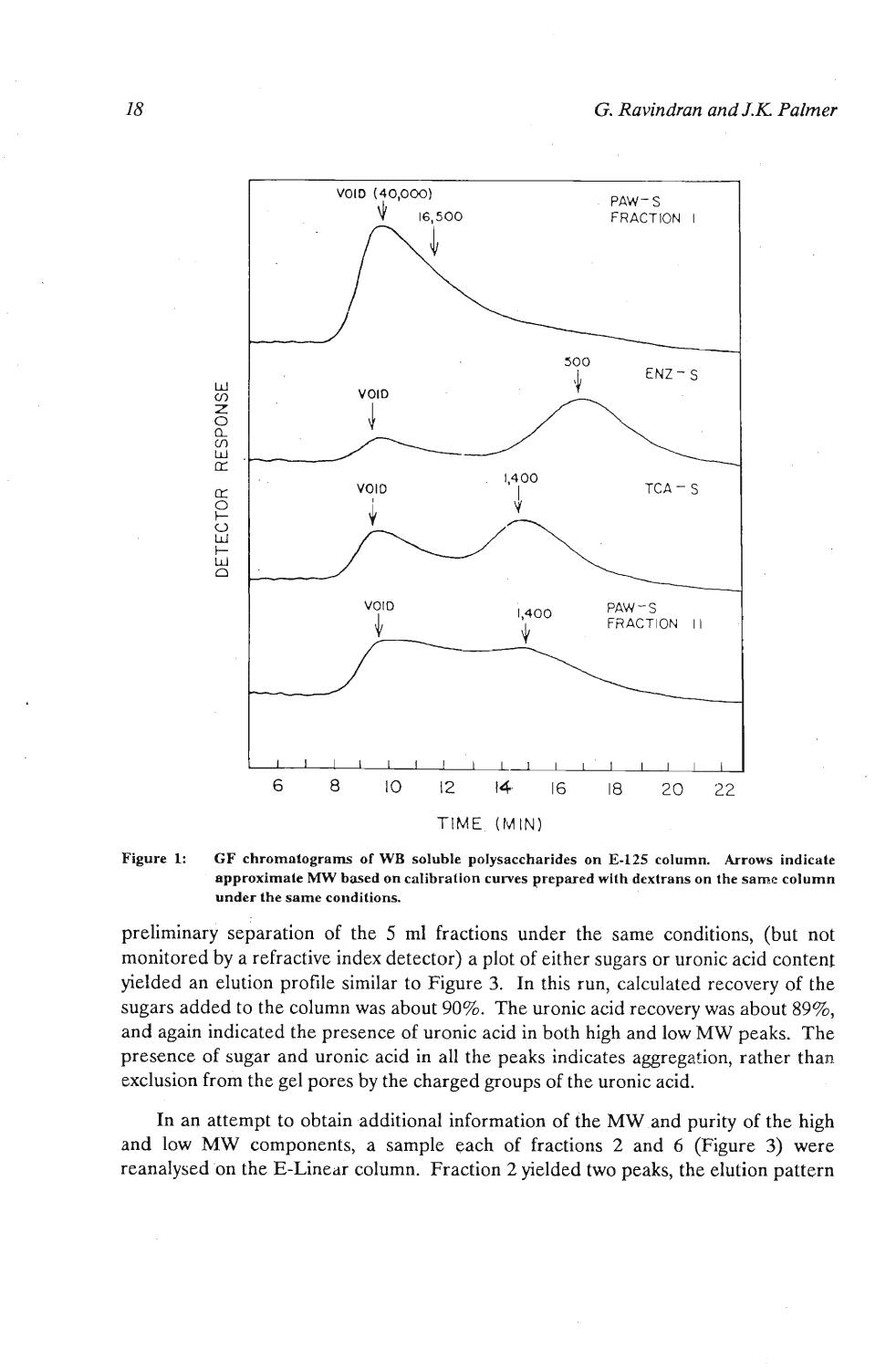

Figure 1: GF chromatograms of WB soluble polysaccharides on E-125 column. Arrows indicate **approximate MW based on calibration curves prepared with dextrans on the same column under the same conditions.** 

preliminary separation of the 5 ml fractions under the same conditions, (but not monitored by a refractive index detector) a plot of either sugars or uronic acid content yielded an elution profile similar to Figure **3.** In this run, calculated recovery of the sugars added to the column was about 90%. The uronic acid recovery was about 89%, and again indicated the presence of uronic acid in both high and low MW peaks. The presence of sugar and uronic acid in all the peaks indicates aggregation, rather than exclusion from the gel pores by the charged groups of the uronic acid.

In an attempt to obtain additional information of the MW and purity of the high and low MW components, a sample each of fractions 2 and *6* (Figure **3)** were reanalysed on the E-Linear column. Fraction 2 yielded two peaks, the elution pattern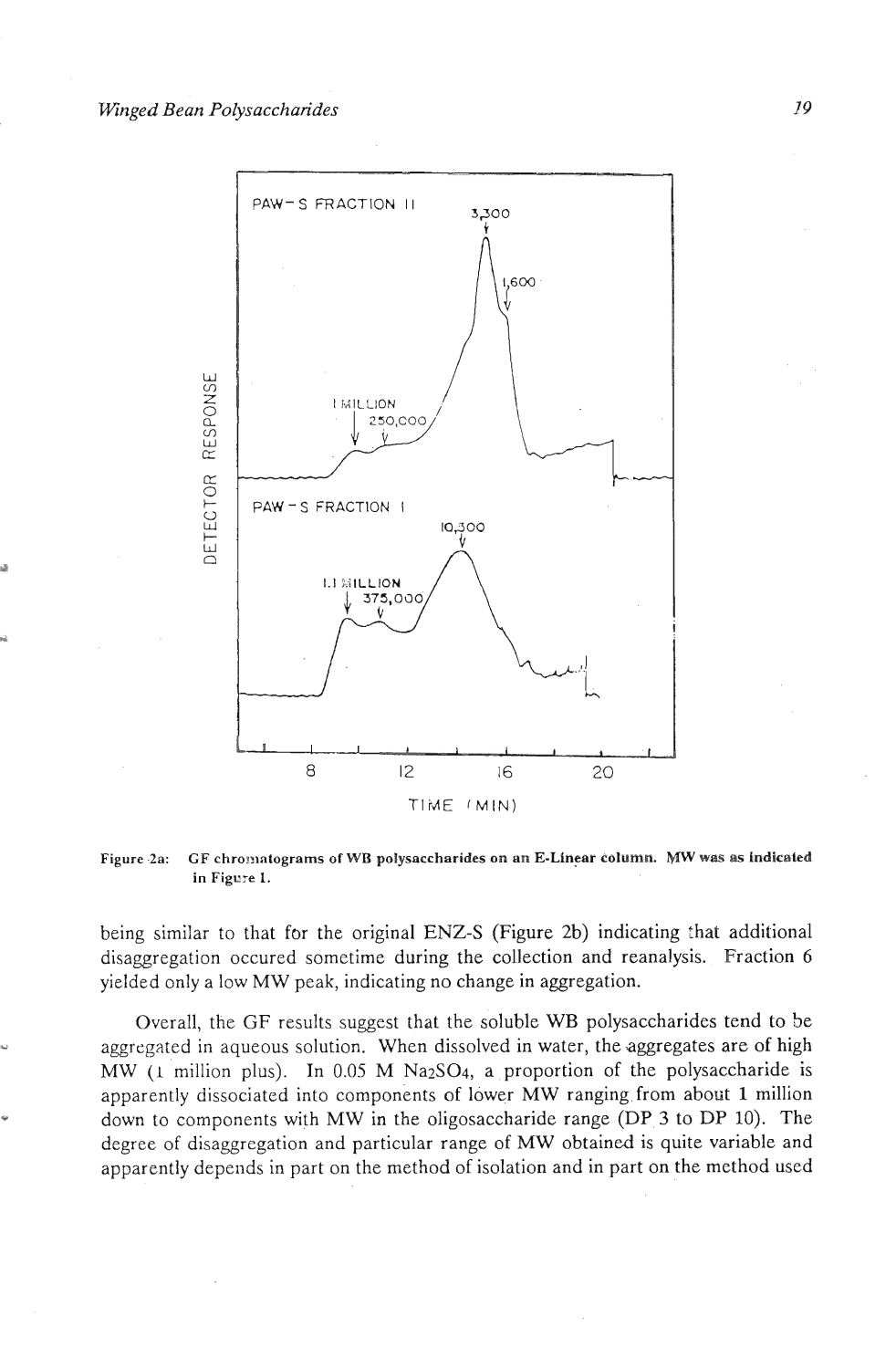

**Figure .2a: GF chro~~~nlograms of WB polysaccharides on nn E-Linear column,** *MW* **was as indicated in Figure 1.** 

being similar to that for the original ENZ-S (Figure 2b) indicating that additional disaggregation occured sometime during the collection and reanalysis. Fraction 6 yielded only a low MW peak, indicating no change in aggregation.

Overall, the GF results suggest that the soluble WB polysaccharides tend to be **<sup>a</sup>**aggregated in aqueous solution. When dissolved in water, the aggregates are of high MW (1 million plus). In 0.05 M Na<sub>2</sub>SO<sub>4</sub>, a proportion of the polysaccharide is apparently dissociated into components of lower MW ranging from about **1** million - down to components with MW in the oligosaccharide range (DP **3** to DP 10). The degree of disaggregation and particular range of *MW* obtained is quite variable and apparently depends in part on the method of isolation and in part on the method used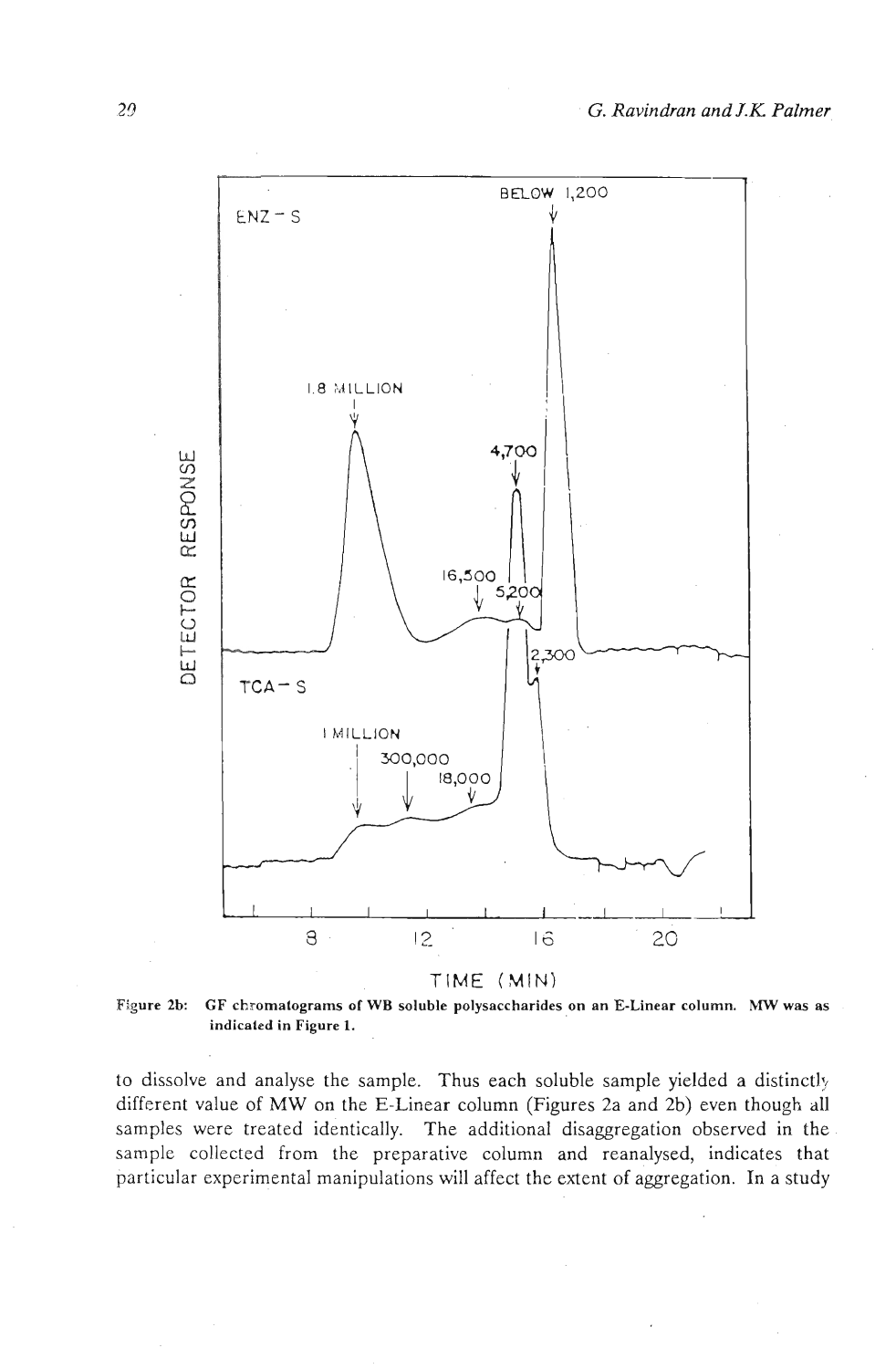

**Figure 2b: CF chromatograms of WB soluble polysaccharides on an E-Linear column. MW was as indicaled in Figure 1.** 

to dissolve and analyse the sample. Thus each soluble sample yielded a distinctly different value of MW on the E-Linear column (Figures 2a and 2b) even though all samples were treated identically. The additional disaggregation observed in the sample collected from the preparative column and reanalysed, indicates that particular experimental manipulations will affect the extent of aggregation. In a study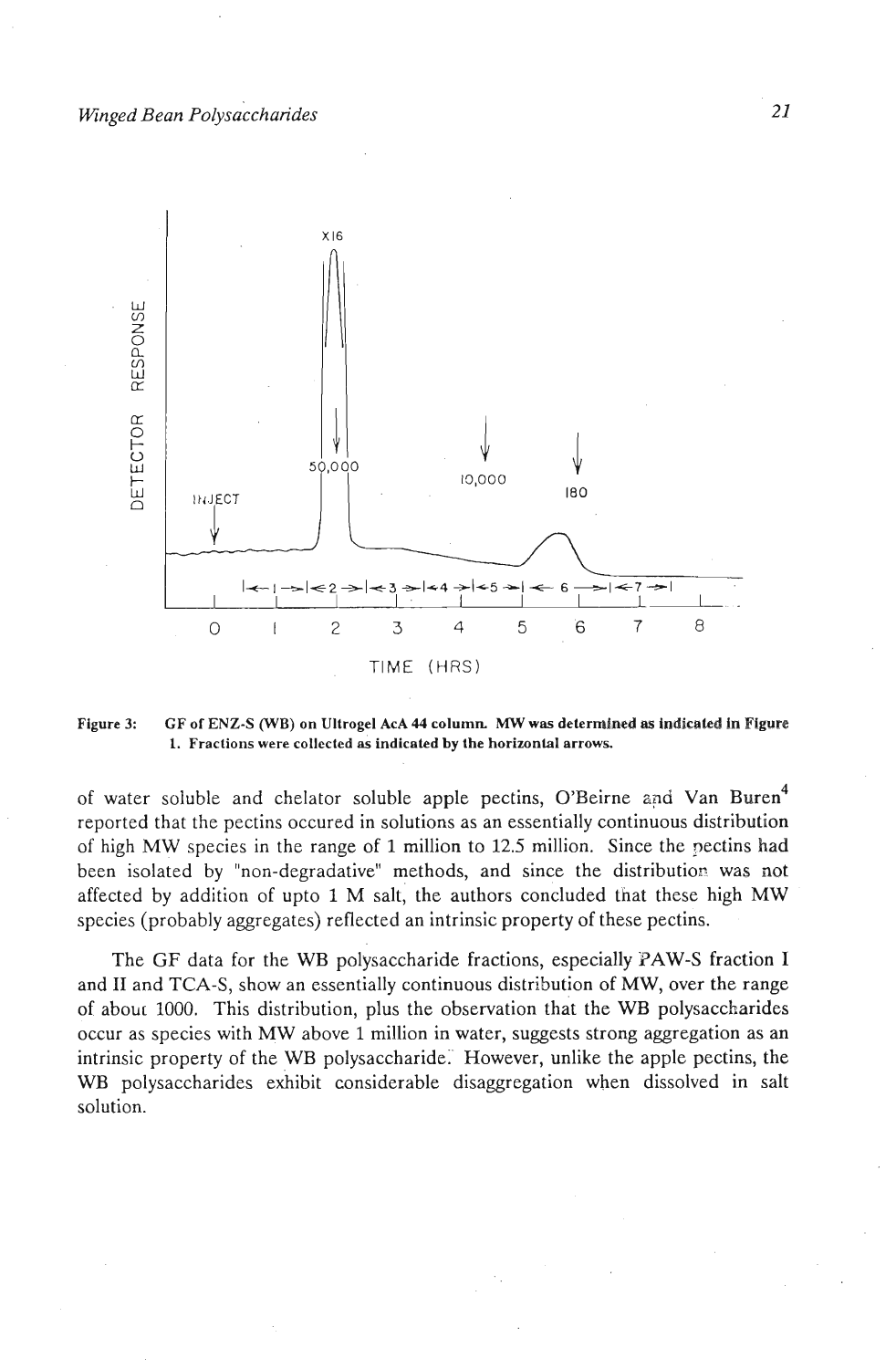

**Figure 3: GF of ENZ-S (WB) on Ultrogel AcA 44 column MW was determined as indicaled in Figure 1. Fractions were collected as indicated by the horizonlal arrows.** 

of water soluble and chelator soluble apple pectins, O'Beirne and Van Buren<sup>4</sup> reported that the pectins occured in solutions as an essentially continuous distribution of high MW species in the range of **1** million to 12.5 million. Since the nectins had been isolated by "non-degradative" methods, and since the distribution was not affected by addition of upto 1 M salt, the authors concluded that these high MW species (probably aggregates) reflected an intrinsic property of these pectins.

The GF data for the WB polysaccharide fractions, especially PAW-S fraction I and **I1** and TCA-S, show an essentially continuous distribution of MW, over the range of about 1000. This distribution, plus the observation that the WB polysaccharides occur as species with MW above 1 million in water, suggests strong aggregation as an intrinsic property of the WB polysaccharide:' However, unlike the apple pectins, the WB polysaccharides exhibit considerable disaggregation when dissolved in salt solution.